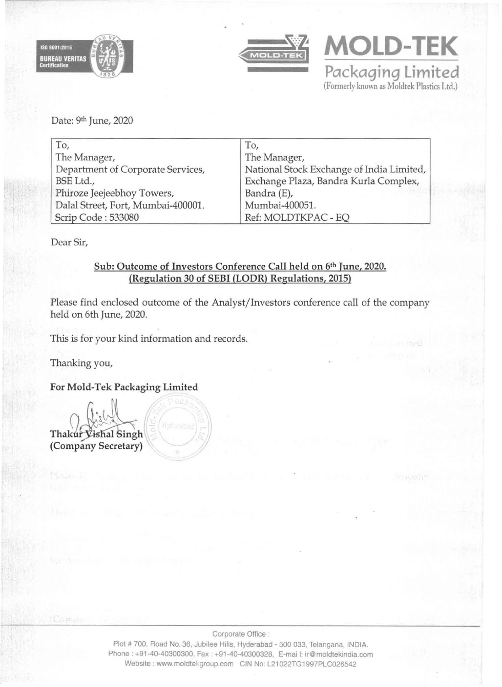



**MOLD-TEK Packaging limited**  (Formerly known as Moldtek Plastics Ltd.)

Date: 9th June, 2020

| To,                                | To,                                       |
|------------------------------------|-------------------------------------------|
| The Manager,                       | The Manager,                              |
| Department of Corporate Services,  | National Stock Exchange of India Limited, |
| BSE Ltd.,                          | Exchange Plaza, Bandra Kurla Complex,     |
| Phiroze Jeejeebhoy Towers,         | Bandra (E),                               |
| Dalal Street, Fort, Mumbai-400001. | Mumbai-400051.                            |
| Scrip Code: 533080                 | Ref: MOLDTKPAC - EO                       |

Dear Sir,

# Sub: Outcome of Investors Conference Call held on 6th June, 2020. (Regulation 30 of SEBI (LODR) Regulations, 2015)

Please find enclosed outcome of the Analyst/Investors conference call of the company held on 6th June, 2020.

This is for your kind information and records.

Thanking you,

For Mold-Tek Packaging Limited

Thakur Vishal Singh (Company Secretary)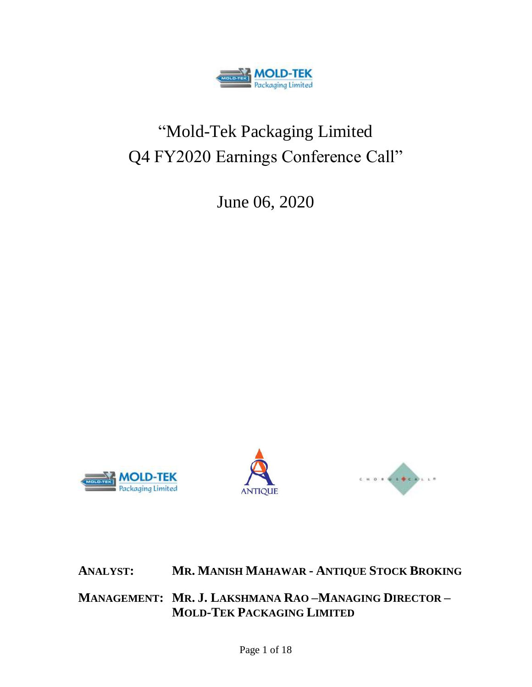

# "Mold-Tek Packaging Limited Q4 FY2020 Earnings Conference Call"

June 06, 2020







**ANALYST: MR. MANISH MAHAWAR - ANTIQUE STOCK BROKING**

**MANAGEMENT: MR. J. LAKSHMANA RAO –MANAGING DIRECTOR – MOLD-TEK PACKAGING LIMITED**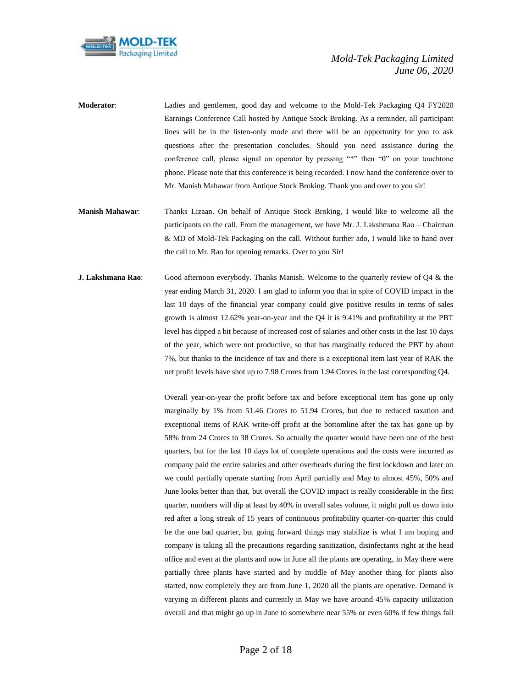

**Moderator**: Ladies and gentlemen, good day and welcome to the Mold-Tek Packaging Q4 FY2020 Earnings Conference Call hosted by Antique Stock Broking. As a reminder, all participant lines will be in the listen-only mode and there will be an opportunity for you to ask questions after the presentation concludes. Should you need assistance during the conference call, please signal an operator by pressing "\*" then "0" on your touchtone phone. Please note that this conference is being recorded. I now hand the conference over to Mr. Manish Mahawar from Antique Stock Broking. Thank you and over to you sir!

- **Manish Mahawar**: Thanks Lizaan. On behalf of Antique Stock Broking, I would like to welcome all the participants on the call. From the management, we have Mr. J. Lakshmana Rao – Chairman & MD of Mold-Tek Packaging on the call. Without further ado, I would like to hand over the call to Mr. Rao for opening remarks. Over to you Sir!
- **J. Lakshmana Rao**: Good afternoon everybody. Thanks Manish. Welcome to the quarterly review of Q4 & the year ending March 31, 2020. I am glad to inform you that in spite of COVID impact in the last 10 days of the financial year company could give positive results in terms of sales growth is almost 12.62% year-on-year and the Q4 it is 9.41% and profitability at the PBT level has dipped a bit because of increased cost of salaries and other costs in the last 10 days of the year, which were not productive, so that has marginally reduced the PBT by about 7%, but thanks to the incidence of tax and there is a exceptional item last year of RAK the net profit levels have shot up to 7.98 Crores from 1.94 Crores in the last corresponding Q4.

Overall year-on-year the profit before tax and before exceptional item has gone up only marginally by 1% from 51.46 Crores to 51.94 Crores, but due to reduced taxation and exceptional items of RAK write-off profit at the bottomline after the tax has gone up by 58% from 24 Crores to 38 Crores. So actually the quarter would have been one of the best quarters, but for the last 10 days lot of complete operations and the costs were incurred as company paid the entire salaries and other overheads during the first lockdown and later on we could partially operate starting from April partially and May to almost 45%, 50% and June looks better than that, but overall the COVID impact is really considerable in the first quarter, numbers will dip at least by 40% in overall sales volume, it might pull us down into red after a long streak of 15 years of continuous profitability quarter-on-quarter this could be the one bad quarter, but going forward things may stabilize is what I am hoping and company is taking all the precautions regarding sanitization, disinfectants right at the head office and even at the plants and now in June all the plants are operating, in May there were partially three plants have started and by middle of May another thing for plants also started, now completely they are from June 1, 2020 all the plants are operative. Demand is varying in different plants and currently in May we have around 45% capacity utilization overall and that might go up in June to somewhere near 55% or even 60% if few things fall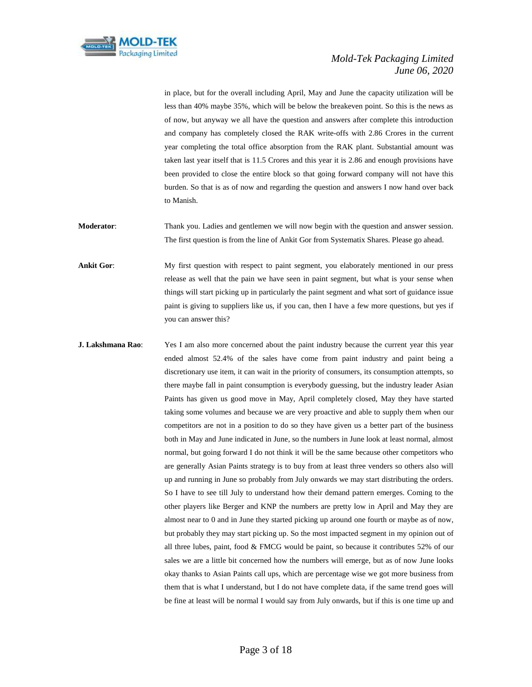

in place, but for the overall including April, May and June the capacity utilization will be less than 40% maybe 35%, which will be below the breakeven point. So this is the news as of now, but anyway we all have the question and answers after complete this introduction and company has completely closed the RAK write-offs with 2.86 Crores in the current year completing the total office absorption from the RAK plant. Substantial amount was taken last year itself that is 11.5 Crores and this year it is 2.86 and enough provisions have been provided to close the entire block so that going forward company will not have this burden. So that is as of now and regarding the question and answers I now hand over back to Manish.

**Moderator**: Thank you. Ladies and gentlemen we will now begin with the question and answer session. The first question is from the line of Ankit Gor from Systematix Shares. Please go ahead.

**Ankit Gor:** My first question with respect to paint segment, you elaborately mentioned in our press release as well that the pain we have seen in paint segment, but what is your sense when things will start picking up in particularly the paint segment and what sort of guidance issue paint is giving to suppliers like us, if you can, then I have a few more questions, but yes if you can answer this?

**J. Lakshmana Rao:** Yes I am also more concerned about the paint industry because the current year this year ended almost 52.4% of the sales have come from paint industry and paint being a discretionary use item, it can wait in the priority of consumers, its consumption attempts, so there maybe fall in paint consumption is everybody guessing, but the industry leader Asian Paints has given us good move in May, April completely closed, May they have started taking some volumes and because we are very proactive and able to supply them when our competitors are not in a position to do so they have given us a better part of the business both in May and June indicated in June, so the numbers in June look at least normal, almost normal, but going forward I do not think it will be the same because other competitors who are generally Asian Paints strategy is to buy from at least three venders so others also will up and running in June so probably from July onwards we may start distributing the orders. So I have to see till July to understand how their demand pattern emerges. Coming to the other players like Berger and KNP the numbers are pretty low in April and May they are almost near to 0 and in June they started picking up around one fourth or maybe as of now, but probably they may start picking up. So the most impacted segment in my opinion out of all three lubes, paint, food & FMCG would be paint, so because it contributes 52% of our sales we are a little bit concerned how the numbers will emerge, but as of now June looks okay thanks to Asian Paints call ups, which are percentage wise we got more business from them that is what I understand, but I do not have complete data, if the same trend goes will be fine at least will be normal I would say from July onwards, but if this is one time up and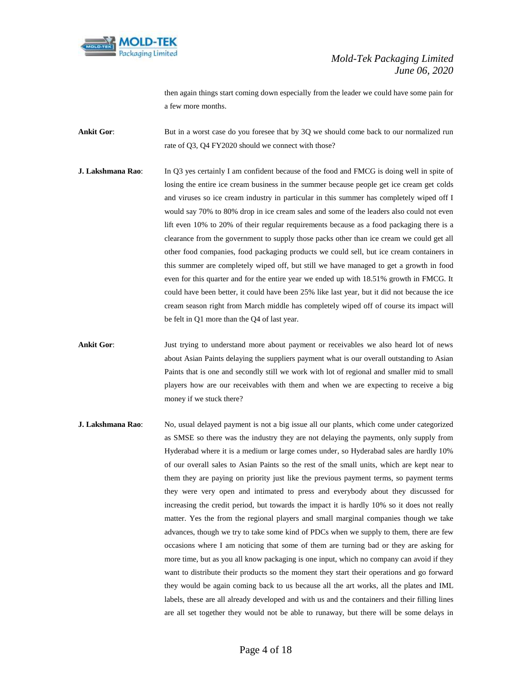

then again things start coming down especially from the leader we could have some pain for a few more months.

**Ankit Gor:** But in a worst case do you foresee that by 3Q we should come back to our normalized run rate of Q3, Q4 FY2020 should we connect with those?

- **J. Lakshmana Rao**: In Q3 yes certainly I am confident because of the food and FMCG is doing well in spite of losing the entire ice cream business in the summer because people get ice cream get colds and viruses so ice cream industry in particular in this summer has completely wiped off I would say 70% to 80% drop in ice cream sales and some of the leaders also could not even lift even 10% to 20% of their regular requirements because as a food packaging there is a clearance from the government to supply those packs other than ice cream we could get all other food companies, food packaging products we could sell, but ice cream containers in this summer are completely wiped off, but still we have managed to get a growth in food even for this quarter and for the entire year we ended up with 18.51% growth in FMCG. It could have been better, it could have been 25% like last year, but it did not because the ice cream season right from March middle has completely wiped off of course its impact will be felt in Q1 more than the Q4 of last year.
- **Ankit Gor**: Just trying to understand more about payment or receivables we also heard lot of news about Asian Paints delaying the suppliers payment what is our overall outstanding to Asian Paints that is one and secondly still we work with lot of regional and smaller mid to small players how are our receivables with them and when we are expecting to receive a big money if we stuck there?
- **J. Lakshmana Rao**: No, usual delayed payment is not a big issue all our plants, which come under categorized as SMSE so there was the industry they are not delaying the payments, only supply from Hyderabad where it is a medium or large comes under, so Hyderabad sales are hardly 10% of our overall sales to Asian Paints so the rest of the small units, which are kept near to them they are paying on priority just like the previous payment terms, so payment terms they were very open and intimated to press and everybody about they discussed for increasing the credit period, but towards the impact it is hardly 10% so it does not really matter. Yes the from the regional players and small marginal companies though we take advances, though we try to take some kind of PDCs when we supply to them, there are few occasions where I am noticing that some of them are turning bad or they are asking for more time, but as you all know packaging is one input, which no company can avoid if they want to distribute their products so the moment they start their operations and go forward they would be again coming back to us because all the art works, all the plates and IML labels, these are all already developed and with us and the containers and their filling lines are all set together they would not be able to runaway, but there will be some delays in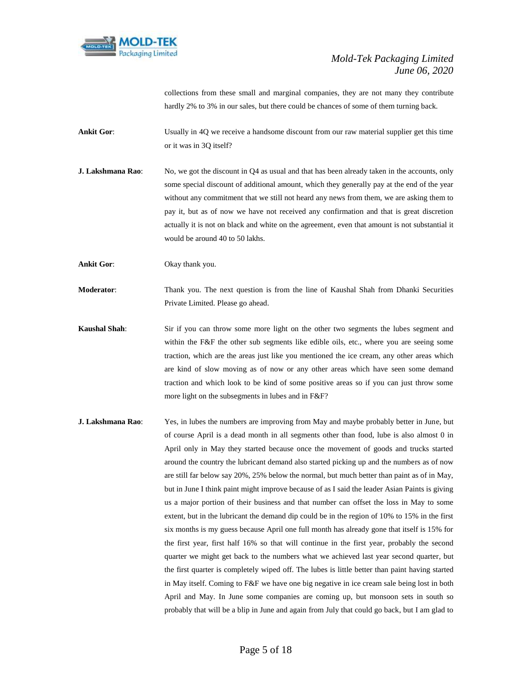

collections from these small and marginal companies, they are not many they contribute hardly 2% to 3% in our sales, but there could be chances of some of them turning back.

**Ankit Gor:** Usually in 4Q we receive a handsome discount from our raw material supplier get this time or it was in 3Q itself?

**J. Lakshmana Rao:** No, we got the discount in Q4 as usual and that has been already taken in the accounts, only some special discount of additional amount, which they generally pay at the end of the year without any commitment that we still not heard any news from them, we are asking them to pay it, but as of now we have not received any confirmation and that is great discretion actually it is not on black and white on the agreement, even that amount is not substantial it would be around 40 to 50 lakhs.

**Ankit Gor**: Okay thank you.

**Moderator**: Thank you. The next question is from the line of Kaushal Shah from Dhanki Securities Private Limited. Please go ahead.

- **Kaushal Shah**: Sir if you can throw some more light on the other two segments the lubes segment and within the F&F the other sub segments like edible oils, etc., where you are seeing some traction, which are the areas just like you mentioned the ice cream, any other areas which are kind of slow moving as of now or any other areas which have seen some demand traction and which look to be kind of some positive areas so if you can just throw some more light on the subsegments in lubes and in F&F?
- **J. Lakshmana Rao**: Yes, in lubes the numbers are improving from May and maybe probably better in June, but of course April is a dead month in all segments other than food, lube is also almost 0 in April only in May they started because once the movement of goods and trucks started around the country the lubricant demand also started picking up and the numbers as of now are still far below say 20%, 25% below the normal, but much better than paint as of in May, but in June I think paint might improve because of as I said the leader Asian Paints is giving us a major portion of their business and that number can offset the loss in May to some extent, but in the lubricant the demand dip could be in the region of 10% to 15% in the first six months is my guess because April one full month has already gone that itself is 15% for the first year, first half 16% so that will continue in the first year, probably the second quarter we might get back to the numbers what we achieved last year second quarter, but the first quarter is completely wiped off. The lubes is little better than paint having started in May itself. Coming to F&F we have one big negative in ice cream sale being lost in both April and May. In June some companies are coming up, but monsoon sets in south so probably that will be a blip in June and again from July that could go back, but I am glad to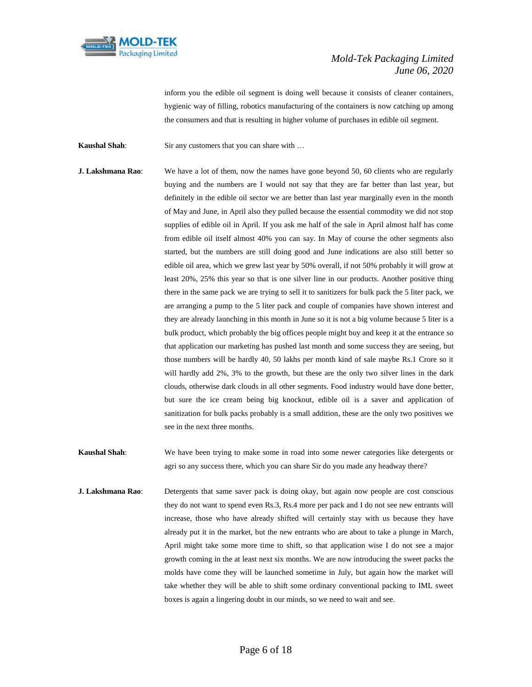

inform you the edible oil segment is doing well because it consists of cleaner containers, hygienic way of filling, robotics manufacturing of the containers is now catching up among the consumers and that is resulting in higher volume of purchases in edible oil segment.

**Kaushal Shah**: Sir any customers that you can share with ...

- **J. Lakshmana Rao:** We have a lot of them, now the names have gone beyond 50, 60 clients who are regularly buying and the numbers are I would not say that they are far better than last year, but definitely in the edible oil sector we are better than last year marginally even in the month of May and June, in April also they pulled because the essential commodity we did not stop supplies of edible oil in April. If you ask me half of the sale in April almost half has come from edible oil itself almost 40% you can say. In May of course the other segments also started, but the numbers are still doing good and June indications are also still better so edible oil area, which we grew last year by 50% overall, if not 50% probably it will grow at least 20%, 25% this year so that is one silver line in our products. Another positive thing there in the same pack we are trying to sell it to sanitizers for bulk pack the 5 liter pack, we are arranging a pump to the 5 liter pack and couple of companies have shown interest and they are already launching in this month in June so it is not a big volume because 5 liter is a bulk product, which probably the big offices people might buy and keep it at the entrance so that application our marketing has pushed last month and some success they are seeing, but those numbers will be hardly 40, 50 lakhs per month kind of sale maybe Rs.1 Crore so it will hardly add 2%, 3% to the growth, but these are the only two silver lines in the dark clouds, otherwise dark clouds in all other segments. Food industry would have done better, but sure the ice cream being big knockout, edible oil is a saver and application of sanitization for bulk packs probably is a small addition, these are the only two positives we see in the next three months.
- **Kaushal Shah**: We have been trying to make some in road into some newer categories like detergents or agri so any success there, which you can share Sir do you made any headway there?
- **J. Lakshmana Rao**: Detergents that same saver pack is doing okay, but again now people are cost conscious they do not want to spend even Rs.3, Rs.4 more per pack and I do not see new entrants will increase, those who have already shifted will certainly stay with us because they have already put it in the market, but the new entrants who are about to take a plunge in March, April might take some more time to shift, so that application wise I do not see a major growth coming in the at least next six months. We are now introducing the sweet packs the molds have come they will be launched sometime in July, but again how the market will take whether they will be able to shift some ordinary conventional packing to IML sweet boxes is again a lingering doubt in our minds, so we need to wait and see.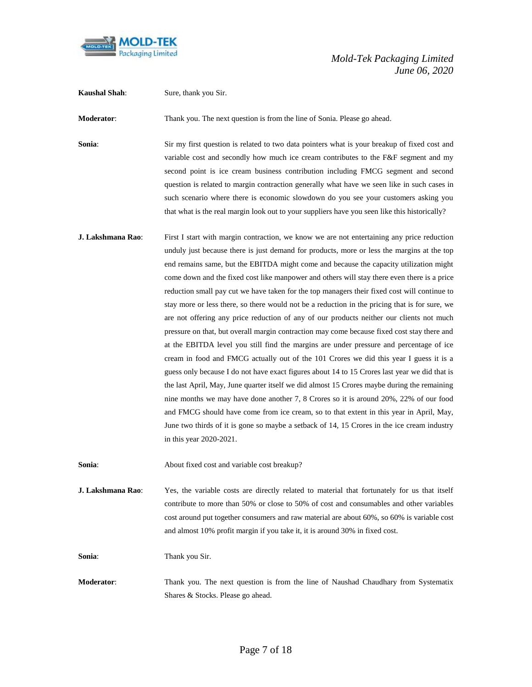

| <b>Kaushal Shah:</b> | Sure, thank you Sir.                                                                                                                                                                                                                                                                                                                                                                                                                                                                                                                                                                                                                                                                                                                                                                                                                                                                                                                                                                                                                                                                                                                                                                                                                                                                                                                                                                                                                                                              |
|----------------------|-----------------------------------------------------------------------------------------------------------------------------------------------------------------------------------------------------------------------------------------------------------------------------------------------------------------------------------------------------------------------------------------------------------------------------------------------------------------------------------------------------------------------------------------------------------------------------------------------------------------------------------------------------------------------------------------------------------------------------------------------------------------------------------------------------------------------------------------------------------------------------------------------------------------------------------------------------------------------------------------------------------------------------------------------------------------------------------------------------------------------------------------------------------------------------------------------------------------------------------------------------------------------------------------------------------------------------------------------------------------------------------------------------------------------------------------------------------------------------------|
| Moderator:           | Thank you. The next question is from the line of Sonia. Please go ahead.                                                                                                                                                                                                                                                                                                                                                                                                                                                                                                                                                                                                                                                                                                                                                                                                                                                                                                                                                                                                                                                                                                                                                                                                                                                                                                                                                                                                          |
| Sonia:               | Sir my first question is related to two data pointers what is your breakup of fixed cost and<br>variable cost and secondly how much ice cream contributes to the F&F segment and my<br>second point is ice cream business contribution including FMCG segment and second<br>question is related to margin contraction generally what have we seen like in such cases in<br>such scenario where there is economic slowdown do you see your customers asking you<br>that what is the real margin look out to your suppliers have you seen like this historically?                                                                                                                                                                                                                                                                                                                                                                                                                                                                                                                                                                                                                                                                                                                                                                                                                                                                                                                   |
| J. Lakshmana Rao:    | First I start with margin contraction, we know we are not entertaining any price reduction<br>unduly just because there is just demand for products, more or less the margins at the top<br>end remains same, but the EBITDA might come and because the capacity utilization might<br>come down and the fixed cost like manpower and others will stay there even there is a price<br>reduction small pay cut we have taken for the top managers their fixed cost will continue to<br>stay more or less there, so there would not be a reduction in the pricing that is for sure, we<br>are not offering any price reduction of any of our products neither our clients not much<br>pressure on that, but overall margin contraction may come because fixed cost stay there and<br>at the EBITDA level you still find the margins are under pressure and percentage of ice<br>cream in food and FMCG actually out of the 101 Crores we did this year I guess it is a<br>guess only because I do not have exact figures about 14 to 15 Crores last year we did that is<br>the last April, May, June quarter itself we did almost 15 Crores maybe during the remaining<br>nine months we may have done another 7, 8 Crores so it is around 20%, 22% of our food<br>and FMCG should have come from ice cream, so to that extent in this year in April, May,<br>June two thirds of it is gone so maybe a setback of 14, 15 Crores in the ice cream industry<br>in this year 2020-2021. |
| Sonia:               | About fixed cost and variable cost breakup?                                                                                                                                                                                                                                                                                                                                                                                                                                                                                                                                                                                                                                                                                                                                                                                                                                                                                                                                                                                                                                                                                                                                                                                                                                                                                                                                                                                                                                       |
| J. Lakshmana Rao:    | Yes, the variable costs are directly related to material that fortunately for us that itself<br>contribute to more than 50% or close to 50% of cost and consumables and other variables<br>cost around put together consumers and raw material are about 60%, so 60% is variable cost<br>and almost 10% profit margin if you take it, it is around 30% in fixed cost.                                                                                                                                                                                                                                                                                                                                                                                                                                                                                                                                                                                                                                                                                                                                                                                                                                                                                                                                                                                                                                                                                                             |
| Sonia:               | Thank you Sir.                                                                                                                                                                                                                                                                                                                                                                                                                                                                                                                                                                                                                                                                                                                                                                                                                                                                                                                                                                                                                                                                                                                                                                                                                                                                                                                                                                                                                                                                    |
| Moderator:           | Thank you. The next question is from the line of Naushad Chaudhary from Systematix<br>Shares & Stocks. Please go ahead.                                                                                                                                                                                                                                                                                                                                                                                                                                                                                                                                                                                                                                                                                                                                                                                                                                                                                                                                                                                                                                                                                                                                                                                                                                                                                                                                                           |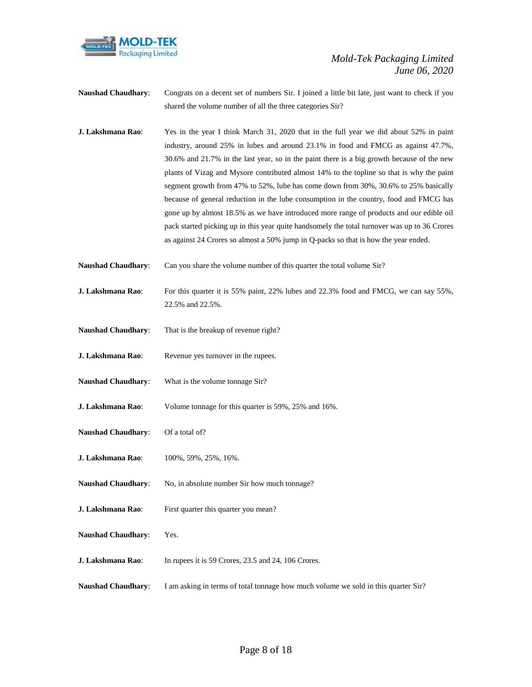

- **Naushad Chaudhary**: Congrats on a decent set of numbers Sir. I joined a little bit late, just want to check if you shared the volume number of all the three categories Sir?
- **J. Lakshmana Rao**: Yes in the year I think March 31, 2020 that in the full year we did about 52% in paint industry, around 25% in lubes and around 23.1% in food and FMCG as against 47.7%, 30.6% and 21.7% in the last year, so in the paint there is a big growth because of the new plants of Vizag and Mysore contributed almost 14% to the topline so that is why the paint segment growth from 47% to 52%, lube has come down from 30%, 30.6% to 25% basically because of general reduction in the lube consumption in the country, food and FMCG has gone up by almost 18.5% as we have introduced more range of products and our edible oil pack started picking up in this year quite handsomely the total turnover was up to 36 Crores as against 24 Crores so almost a 50% jump in Q-packs so that is how the year ended.
- **Naushad Chaudhary:** Can you share the volume number of this quarter the total volume Sir?
- **J. Lakshmana Rao:** For this quarter it is 55% paint, 22% lubes and 22.3% food and FMCG, we can say 55%, 22.5% and 22.5%.
- **Naushad Chaudhary**: That is the breakup of revenue right?
- **J. Lakshmana Rao:** Revenue yes turnover in the rupees.
- **Naushad Chaudhary**: What is the volume tonnage Sir?
- **J. Lakshmana Rao**: Volume tonnage for this quarter is 59%, 25% and 16%.
- **Naushad Chaudhary**: Of a total of?
- **J. Lakshmana Rao**: 100%, 59%, 25%, 16%.
- Naushad Chaudhary: No, in absolute number Sir how much tonnage?
- **J. Lakshmana Rao**: First quarter this quarter you mean?
- **Naushad Chaudhary**: Yes.
- **J. Lakshmana Rao**: In rupees it is 59 Crores, 23.5 and 24, 106 Crores.
- **Naushad Chaudhary**: I am asking in terms of total tonnage how much volume we sold in this quarter Sir?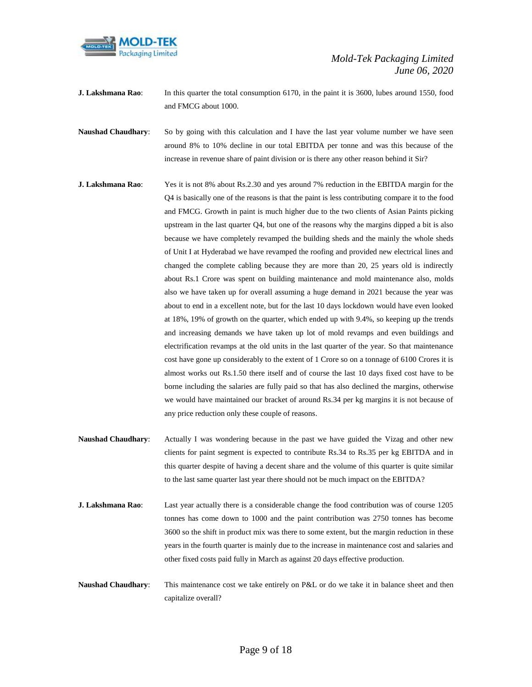

- **J. Lakshmana Rao**: In this quarter the total consumption 6170, in the paint it is 3600, lubes around 1550, food and FMCG about 1000.
- Naushad Chaudhary: So by going with this calculation and I have the last year volume number we have seen around 8% to 10% decline in our total EBITDA per tonne and was this because of the increase in revenue share of paint division or is there any other reason behind it Sir?
- **J. Lakshmana Rao**: Yes it is not 8% about Rs.2.30 and yes around 7% reduction in the EBITDA margin for the Q4 is basically one of the reasons is that the paint is less contributing compare it to the food and FMCG. Growth in paint is much higher due to the two clients of Asian Paints picking upstream in the last quarter Q4, but one of the reasons why the margins dipped a bit is also because we have completely revamped the building sheds and the mainly the whole sheds of Unit I at Hyderabad we have revamped the roofing and provided new electrical lines and changed the complete cabling because they are more than 20, 25 years old is indirectly about Rs.1 Crore was spent on building maintenance and mold maintenance also, molds also we have taken up for overall assuming a huge demand in 2021 because the year was about to end in a excellent note, but for the last 10 days lockdown would have even looked at 18%, 19% of growth on the quarter, which ended up with 9.4%, so keeping up the trends and increasing demands we have taken up lot of mold revamps and even buildings and electrification revamps at the old units in the last quarter of the year. So that maintenance cost have gone up considerably to the extent of 1 Crore so on a tonnage of 6100 Crores it is almost works out Rs.1.50 there itself and of course the last 10 days fixed cost have to be borne including the salaries are fully paid so that has also declined the margins, otherwise we would have maintained our bracket of around Rs.34 per kg margins it is not because of any price reduction only these couple of reasons.
- **Naushad Chaudhary**: Actually I was wondering because in the past we have guided the Vizag and other new clients for paint segment is expected to contribute Rs.34 to Rs.35 per kg EBITDA and in this quarter despite of having a decent share and the volume of this quarter is quite similar to the last same quarter last year there should not be much impact on the EBITDA?
- **J. Lakshmana Rao**: Last year actually there is a considerable change the food contribution was of course 1205 tonnes has come down to 1000 and the paint contribution was 2750 tonnes has become 3600 so the shift in product mix was there to some extent, but the margin reduction in these years in the fourth quarter is mainly due to the increase in maintenance cost and salaries and other fixed costs paid fully in March as against 20 days effective production.
- **Naushad Chaudhary**: This maintenance cost we take entirely on P&L or do we take it in balance sheet and then capitalize overall?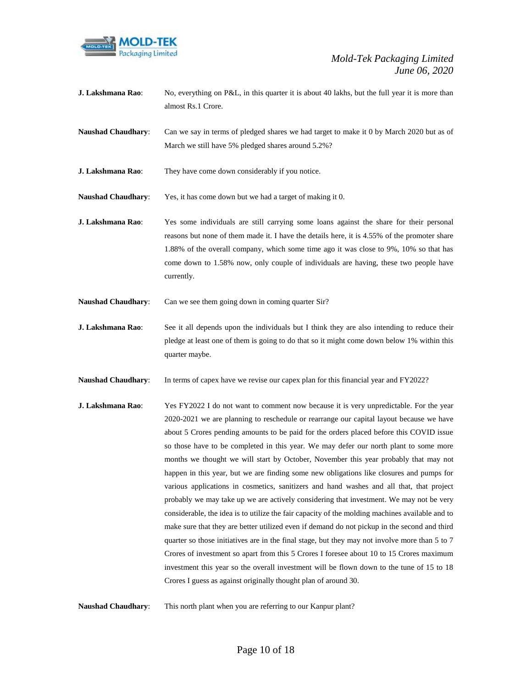

**J. Lakshmana Rao**: No, everything on P&L, in this quarter it is about 40 lakhs, but the full year it is more than almost Rs.1 Crore.

**Naushad Chaudhary**: Can we say in terms of pledged shares we had target to make it 0 by March 2020 but as of March we still have 5% pledged shares around 5.2%?

**J. Lakshmana Rao**: They have come down considerably if you notice.

**Naushad Chaudhary**: Yes, it has come down but we had a target of making it 0.

- **J. Lakshmana Rao**: Yes some individuals are still carrying some loans against the share for their personal reasons but none of them made it. I have the details here, it is 4.55% of the promoter share 1.88% of the overall company, which some time ago it was close to 9%, 10% so that has come down to 1.58% now, only couple of individuals are having, these two people have currently.
- **Naushad Chaudhary:** Can we see them going down in coming quarter Sir?
- **J. Lakshmana Rao:** See it all depends upon the individuals but I think they are also intending to reduce their pledge at least one of them is going to do that so it might come down below 1% within this quarter maybe.
- **Naushad Chaudhary**: In terms of capex have we revise our capex plan for this financial year and FY2022?
- **J. Lakshmana Rao**: Yes FY2022 I do not want to comment now because it is very unpredictable. For the year 2020-2021 we are planning to reschedule or rearrange our capital layout because we have about 5 Crores pending amounts to be paid for the orders placed before this COVID issue so those have to be completed in this year. We may defer our north plant to some more months we thought we will start by October, November this year probably that may not happen in this year, but we are finding some new obligations like closures and pumps for various applications in cosmetics, sanitizers and hand washes and all that, that project probably we may take up we are actively considering that investment. We may not be very considerable, the idea is to utilize the fair capacity of the molding machines available and to make sure that they are better utilized even if demand do not pickup in the second and third quarter so those initiatives are in the final stage, but they may not involve more than 5 to 7 Crores of investment so apart from this 5 Crores I foresee about 10 to 15 Crores maximum investment this year so the overall investment will be flown down to the tune of 15 to 18 Crores I guess as against originally thought plan of around 30.
- **Naushad Chaudhary**: This north plant when you are referring to our Kanpur plant?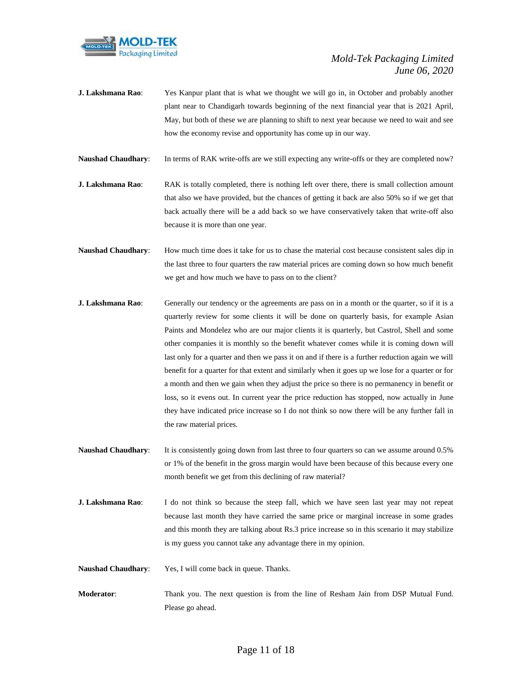

- **J. Lakshmana Rao**: Yes Kanpur plant that is what we thought we will go in, in October and probably another plant near to Chandigarh towards beginning of the next financial year that is 2021 April, May, but both of these we are planning to shift to next year because we need to wait and see how the economy revise and opportunity has come up in our way.
- **Naushad Chaudhary**: In terms of RAK write-offs are we still expecting any write-offs or they are completed now?
- **J. Lakshmana Rao**: RAK is totally completed, there is nothing left over there, there is small collection amount that also we have provided, but the chances of getting it back are also 50% so if we get that back actually there will be a add back so we have conservatively taken that write-off also because it is more than one year.
- **Naushad Chaudhary:** How much time does it take for us to chase the material cost because consistent sales dip in the last three to four quarters the raw material prices are coming down so how much benefit we get and how much we have to pass on to the client?
- **J. Lakshmana Rao:** Generally our tendency or the agreements are pass on in a month or the quarter, so if it is a quarterly review for some clients it will be done on quarterly basis, for example Asian Paints and Mondelez who are our major clients it is quarterly, but Castrol, Shell and some other companies it is monthly so the benefit whatever comes while it is coming down will last only for a quarter and then we pass it on and if there is a further reduction again we will benefit for a quarter for that extent and similarly when it goes up we lose for a quarter or for a month and then we gain when they adjust the price so there is no permanency in benefit or loss, so it evens out. In current year the price reduction has stopped, now actually in June they have indicated price increase so I do not think so now there will be any further fall in the raw material prices.
- **Naushad Chaudhary**: It is consistently going down from last three to four quarters so can we assume around 0.5% or 1% of the benefit in the gross margin would have been because of this because every one month benefit we get from this declining of raw material?
- **J. Lakshmana Rao**: I do not think so because the steep fall, which we have seen last year may not repeat because last month they have carried the same price or marginal increase in some grades and this month they are talking about Rs.3 price increase so in this scenario it may stabilize is my guess you cannot take any advantage there in my opinion.
- **Naushad Chaudhary**: Yes, I will come back in queue. Thanks.
- **Moderator**: Thank you. The next question is from the line of Resham Jain from DSP Mutual Fund. Please go ahead.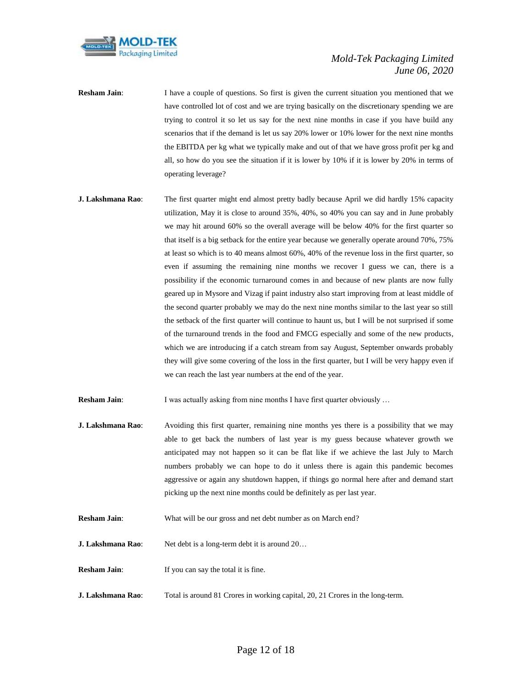

- **Resham Jain:** I have a couple of questions. So first is given the current situation you mentioned that we have controlled lot of cost and we are trying basically on the discretionary spending we are trying to control it so let us say for the next nine months in case if you have build any scenarios that if the demand is let us say 20% lower or 10% lower for the next nine months the EBITDA per kg what we typically make and out of that we have gross profit per kg and all, so how do you see the situation if it is lower by 10% if it is lower by 20% in terms of operating leverage?
- **J. Lakshmana Rao**: The first quarter might end almost pretty badly because April we did hardly 15% capacity utilization, May it is close to around 35%, 40%, so 40% you can say and in June probably we may hit around 60% so the overall average will be below 40% for the first quarter so that itself is a big setback for the entire year because we generally operate around 70%, 75% at least so which is to 40 means almost 60%, 40% of the revenue loss in the first quarter, so even if assuming the remaining nine months we recover I guess we can, there is a possibility if the economic turnaround comes in and because of new plants are now fully geared up in Mysore and Vizag if paint industry also start improving from at least middle of the second quarter probably we may do the next nine months similar to the last year so still the setback of the first quarter will continue to haunt us, but I will be not surprised if some of the turnaround trends in the food and FMCG especially and some of the new products, which we are introducing if a catch stream from say August, September onwards probably they will give some covering of the loss in the first quarter, but I will be very happy even if we can reach the last year numbers at the end of the year.
- **Resham Jain:** I was actually asking from nine months I have first quarter obviously ...
- **J. Lakshmana Rao:** Avoiding this first quarter, remaining nine months yes there is a possibility that we may able to get back the numbers of last year is my guess because whatever growth we anticipated may not happen so it can be flat like if we achieve the last July to March numbers probably we can hope to do it unless there is again this pandemic becomes aggressive or again any shutdown happen, if things go normal here after and demand start picking up the next nine months could be definitely as per last year.
- **Resham Jain:** What will be our gross and net debt number as on March end?
- **J. Lakshmana Rao:** Net debt is a long-term debt it is around 20...
- **Resham Jain:** If you can say the total it is fine.
- **J. Lakshmana Rao**: Total is around 81 Crores in working capital, 20, 21 Crores in the long-term.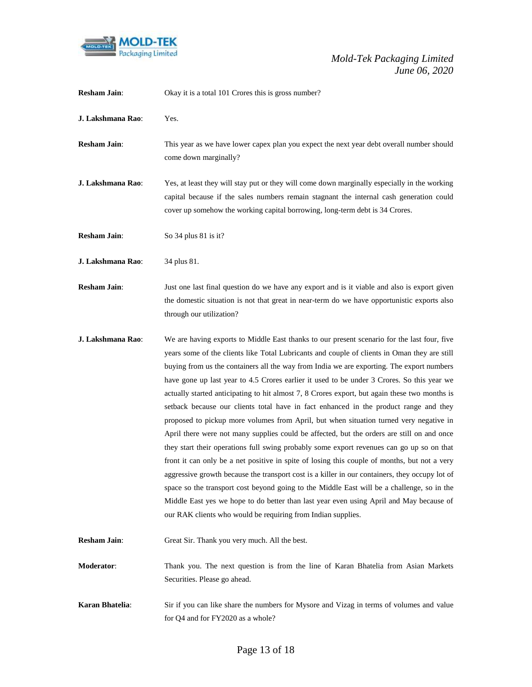

| <b>Resham Jain:</b> | Okay it is a total 101 Crores this is gross number?                                                                                                                                                                                                                                                                                                                                                                                                                                                                                                                                                                                                                                                                                                                                                                                                                                                                                                                                                                                                                                                                                                                                                                                                                                                                              |
|---------------------|----------------------------------------------------------------------------------------------------------------------------------------------------------------------------------------------------------------------------------------------------------------------------------------------------------------------------------------------------------------------------------------------------------------------------------------------------------------------------------------------------------------------------------------------------------------------------------------------------------------------------------------------------------------------------------------------------------------------------------------------------------------------------------------------------------------------------------------------------------------------------------------------------------------------------------------------------------------------------------------------------------------------------------------------------------------------------------------------------------------------------------------------------------------------------------------------------------------------------------------------------------------------------------------------------------------------------------|
| J. Lakshmana Rao:   | Yes.                                                                                                                                                                                                                                                                                                                                                                                                                                                                                                                                                                                                                                                                                                                                                                                                                                                                                                                                                                                                                                                                                                                                                                                                                                                                                                                             |
| <b>Resham Jain:</b> | This year as we have lower capex plan you expect the next year debt overall number should<br>come down marginally?                                                                                                                                                                                                                                                                                                                                                                                                                                                                                                                                                                                                                                                                                                                                                                                                                                                                                                                                                                                                                                                                                                                                                                                                               |
| J. Lakshmana Rao:   | Yes, at least they will stay put or they will come down marginally especially in the working<br>capital because if the sales numbers remain stagnant the internal cash generation could<br>cover up somehow the working capital borrowing, long-term debt is 34 Crores.                                                                                                                                                                                                                                                                                                                                                                                                                                                                                                                                                                                                                                                                                                                                                                                                                                                                                                                                                                                                                                                          |
| <b>Resham Jain:</b> | So 34 plus 81 is it?                                                                                                                                                                                                                                                                                                                                                                                                                                                                                                                                                                                                                                                                                                                                                                                                                                                                                                                                                                                                                                                                                                                                                                                                                                                                                                             |
| J. Lakshmana Rao:   | 34 plus 81.                                                                                                                                                                                                                                                                                                                                                                                                                                                                                                                                                                                                                                                                                                                                                                                                                                                                                                                                                                                                                                                                                                                                                                                                                                                                                                                      |
| <b>Resham Jain:</b> | Just one last final question do we have any export and is it viable and also is export given<br>the domestic situation is not that great in near-term do we have opportunistic exports also<br>through our utilization?                                                                                                                                                                                                                                                                                                                                                                                                                                                                                                                                                                                                                                                                                                                                                                                                                                                                                                                                                                                                                                                                                                          |
| J. Lakshmana Rao:   | We are having exports to Middle East thanks to our present scenario for the last four, five<br>years some of the clients like Total Lubricants and couple of clients in Oman they are still<br>buying from us the containers all the way from India we are exporting. The export numbers<br>have gone up last year to 4.5 Crores earlier it used to be under 3 Crores. So this year we<br>actually started anticipating to hit almost 7, 8 Crores export, but again these two months is<br>setback because our clients total have in fact enhanced in the product range and they<br>proposed to pickup more volumes from April, but when situation turned very negative in<br>April there were not many supplies could be affected, but the orders are still on and once<br>they start their operations full swing probably some export revenues can go up so on that<br>front it can only be a net positive in spite of losing this couple of months, but not a very<br>aggressive growth because the transport cost is a killer in our containers, they occupy lot of<br>space so the transport cost beyond going to the Middle East will be a challenge, so in the<br>Middle East yes we hope to do better than last year even using April and May because of<br>our RAK clients who would be requiring from Indian supplies. |
| <b>Resham Jain:</b> | Great Sir. Thank you very much. All the best.                                                                                                                                                                                                                                                                                                                                                                                                                                                                                                                                                                                                                                                                                                                                                                                                                                                                                                                                                                                                                                                                                                                                                                                                                                                                                    |
| Moderator:          | Thank you. The next question is from the line of Karan Bhatelia from Asian Markets<br>Securities. Please go ahead.                                                                                                                                                                                                                                                                                                                                                                                                                                                                                                                                                                                                                                                                                                                                                                                                                                                                                                                                                                                                                                                                                                                                                                                                               |
| Karan Bhatelia:     | Sir if you can like share the numbers for Mysore and Vizag in terms of volumes and value<br>for Q4 and for FY2020 as a whole?                                                                                                                                                                                                                                                                                                                                                                                                                                                                                                                                                                                                                                                                                                                                                                                                                                                                                                                                                                                                                                                                                                                                                                                                    |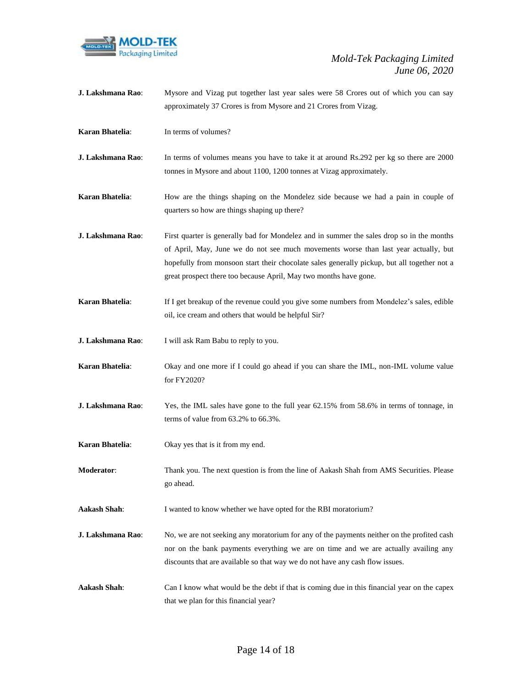

| J. Lakshmana Rao:      | Mysore and Vizag put together last year sales were 58 Crores out of which you can say<br>approximately 37 Crores is from Mysore and 21 Crores from Vizag.                                                                                                                                                                                            |
|------------------------|------------------------------------------------------------------------------------------------------------------------------------------------------------------------------------------------------------------------------------------------------------------------------------------------------------------------------------------------------|
| Karan Bhatelia:        | In terms of volumes?                                                                                                                                                                                                                                                                                                                                 |
| J. Lakshmana Rao:      | In terms of volumes means you have to take it at around Rs.292 per kg so there are 2000<br>tonnes in Mysore and about 1100, 1200 tonnes at Vizag approximately.                                                                                                                                                                                      |
| <b>Karan Bhatelia:</b> | How are the things shaping on the Mondelez side because we had a pain in couple of<br>quarters so how are things shaping up there?                                                                                                                                                                                                                   |
| J. Lakshmana Rao:      | First quarter is generally bad for Mondelez and in summer the sales drop so in the months<br>of April, May, June we do not see much movements worse than last year actually, but<br>hopefully from monsoon start their chocolate sales generally pickup, but all together not a<br>great prospect there too because April, May two months have gone. |
| Karan Bhatelia:        | If I get breakup of the revenue could you give some numbers from Mondelez's sales, edible<br>oil, ice cream and others that would be helpful Sir?                                                                                                                                                                                                    |
| J. Lakshmana Rao:      | I will ask Ram Babu to reply to you.                                                                                                                                                                                                                                                                                                                 |
| Karan Bhatelia:        | Okay and one more if I could go ahead if you can share the IML, non-IML volume value<br>for FY2020?                                                                                                                                                                                                                                                  |
| J. Lakshmana Rao:      | Yes, the IML sales have gone to the full year 62.15% from 58.6% in terms of tonnage, in<br>terms of value from 63.2% to 66.3%.                                                                                                                                                                                                                       |
| Karan Bhatelia:        | Okay yes that is it from my end.                                                                                                                                                                                                                                                                                                                     |
| <b>Moderator:</b>      | Thank you. The next question is from the line of Aakash Shah from AMS Securities. Please<br>go ahead.                                                                                                                                                                                                                                                |
| <b>Aakash Shah:</b>    | I wanted to know whether we have opted for the RBI moratorium?                                                                                                                                                                                                                                                                                       |
| J. Lakshmana Rao:      | No, we are not seeking any moratorium for any of the payments neither on the profited cash<br>nor on the bank payments everything we are on time and we are actually availing any<br>discounts that are available so that way we do not have any cash flow issues.                                                                                   |
| <b>Aakash Shah:</b>    | Can I know what would be the debt if that is coming due in this financial year on the capex<br>that we plan for this financial year?                                                                                                                                                                                                                 |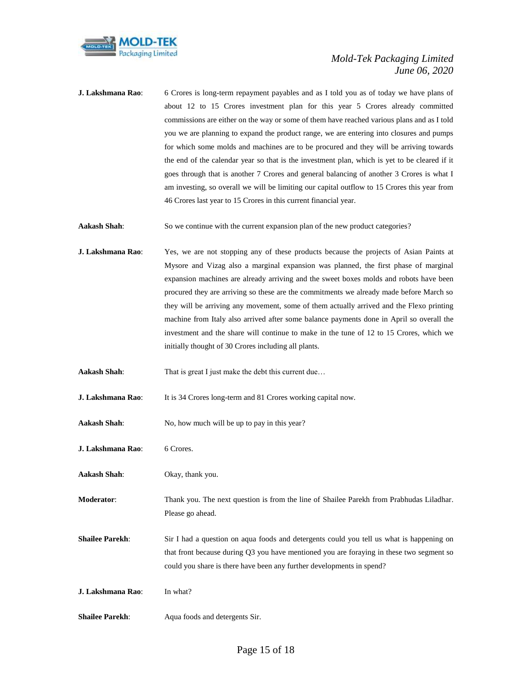

**J. Lakshmana Rao**: 6 Crores is long-term repayment payables and as I told you as of today we have plans of about 12 to 15 Crores investment plan for this year 5 Crores already committed commissions are either on the way or some of them have reached various plans and as I told you we are planning to expand the product range, we are entering into closures and pumps for which some molds and machines are to be procured and they will be arriving towards the end of the calendar year so that is the investment plan, which is yet to be cleared if it goes through that is another 7 Crores and general balancing of another 3 Crores is what I am investing, so overall we will be limiting our capital outflow to 15 Crores this year from 46 Crores last year to 15 Crores in this current financial year.

**Aakash Shah**: So we continue with the current expansion plan of the new product categories?

**J. Lakshmana Rao**: Yes, we are not stopping any of these products because the projects of Asian Paints at Mysore and Vizag also a marginal expansion was planned, the first phase of marginal expansion machines are already arriving and the sweet boxes molds and robots have been procured they are arriving so these are the commitments we already made before March so they will be arriving any movement, some of them actually arrived and the Flexo printing machine from Italy also arrived after some balance payments done in April so overall the investment and the share will continue to make in the tune of 12 to 15 Crores, which we initially thought of 30 Crores including all plants.

**Aakash Shah:** That is great I just make the debt this current due...

**J. Lakshmana Rao**: It is 34 Crores long-term and 81 Crores working capital now.

Aakash Shah: No, how much will be up to pay in this year?

**J. Lakshmana Rao**: 6 Crores.

**Aakash Shah**: Okay, thank you.

**Moderator**: Thank you. The next question is from the line of Shailee Parekh from Prabhudas Liladhar. Please go ahead.

**Shailee Parekh:** Sir I had a question on aqua foods and detergents could you tell us what is happening on that front because during Q3 you have mentioned you are foraying in these two segment so could you share is there have been any further developments in spend?

**J. Lakshmana Rao**: In what?

**Shailee Parekh:** Aqua foods and detergents Sir.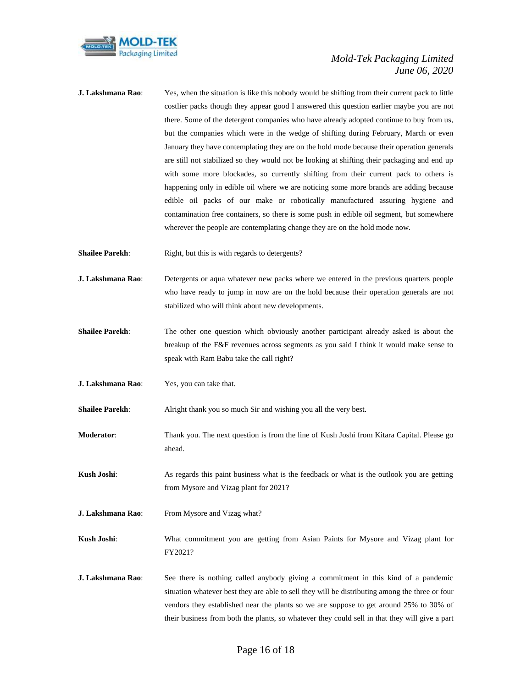

- **J. Lakshmana Rao**: Yes, when the situation is like this nobody would be shifting from their current pack to little costlier packs though they appear good I answered this question earlier maybe you are not there. Some of the detergent companies who have already adopted continue to buy from us, but the companies which were in the wedge of shifting during February, March or even January they have contemplating they are on the hold mode because their operation generals are still not stabilized so they would not be looking at shifting their packaging and end up with some more blockades, so currently shifting from their current pack to others is happening only in edible oil where we are noticing some more brands are adding because edible oil packs of our make or robotically manufactured assuring hygiene and contamination free containers, so there is some push in edible oil segment, but somewhere wherever the people are contemplating change they are on the hold mode now.
- **Shailee Parekh:** Right, but this is with regards to detergents?
- **J. Lakshmana Rao**: Detergents or aqua whatever new packs where we entered in the previous quarters people who have ready to jump in now are on the hold because their operation generals are not stabilized who will think about new developments.
- **Shailee Parekh:** The other one question which obviously another participant already asked is about the breakup of the F&F revenues across segments as you said I think it would make sense to speak with Ram Babu take the call right?
- **J. Lakshmana Rao**: Yes, you can take that.

**Shailee Parekh**: Alright thank you so much Sir and wishing you all the very best.

- **Moderator**: Thank you. The next question is from the line of Kush Joshi from Kitara Capital. Please go ahead.
- **Kush Joshi:** As regards this paint business what is the feedback or what is the outlook you are getting from Mysore and Vizag plant for 2021?
- **J. Lakshmana Rao:** From Mysore and Vizag what?
- **Kush Joshi:** What commitment you are getting from Asian Paints for Mysore and Vizag plant for FY2021?
- **J. Lakshmana Rao**: See there is nothing called anybody giving a commitment in this kind of a pandemic situation whatever best they are able to sell they will be distributing among the three or four vendors they established near the plants so we are suppose to get around 25% to 30% of their business from both the plants, so whatever they could sell in that they will give a part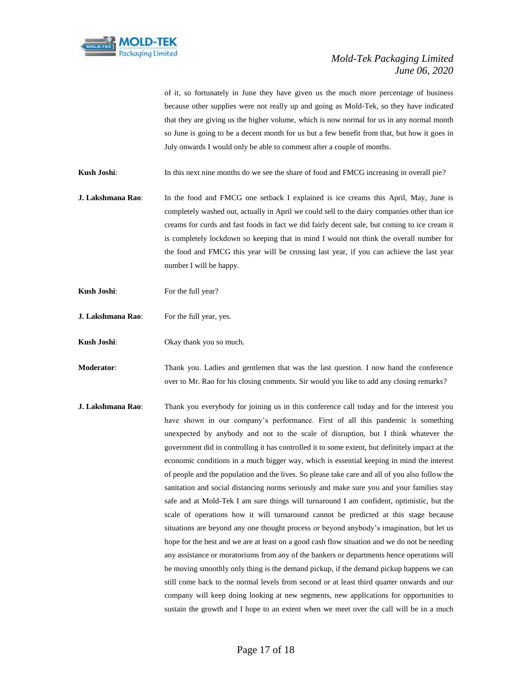

of it, so fortunately in June they have given us the much more percentage of business because other supplies were not really up and going as Mold-Tek, so they have indicated that they are giving us the higher volume, which is now normal for us in any normal month so June is going to be a decent month for us but a few benefit from that, but how it goes in July onwards I would only be able to comment after a couple of months.

**Kush Joshi:** In this next nine months do we see the share of food and FMCG increasing in overall pie?

**J. Lakshmana Rao**: In the food and FMCG one setback I explained is ice creams this April, May, June is completely washed out, actually in April we could sell to the dairy companies other than ice creams for curds and fast foods in fact we did fairly decent sale, but coming to ice cream it is completely lockdown so keeping that in mind I would not think the overall number for the food and FMCG this year will be crossing last year, if you can achieve the last year number I will be happy.

- **Kush Joshi**: For the full year?
- **J. Lakshmana Rao**: For the full year, yes.
- **Kush Joshi:** Okay thank you so much.

**Moderator**: Thank you. Ladies and gentlemen that was the last question. I now hand the conference over to Mr. Rao for his closing comments. Sir would you like to add any closing remarks?

**J. Lakshmana Rao**: Thank you everybody for joining us in this conference call today and for the interest you have shown in our company's performance. First of all this pandemic is something unexpected by anybody and not to the scale of disruption, but I think whatever the government did in controlling it has controlled it to some extent, but definitely impact at the economic conditions in a much bigger way, which is essential keeping in mind the interest of people and the population and the lives. So please take care and all of you also follow the sanitation and social distancing norms seriously and make sure you and your families stay safe and at Mold-Tek I am sure things will turnaround I am confident, optimistic, but the scale of operations how it will turnaround cannot be predicted at this stage because situations are beyond any one thought process or beyond anybody's imagination, but let us hope for the best and we are at least on a good cash flow situation and we do not be needing any assistance or moratoriums from any of the bankers or departments hence operations will be moving smoothly only thing is the demand pickup, if the demand pickup happens we can still come back to the normal levels from second or at least third quarter onwards and our company will keep doing looking at new segments, new applications for opportunities to sustain the growth and I hope to an extent when we meet over the call will be in a much